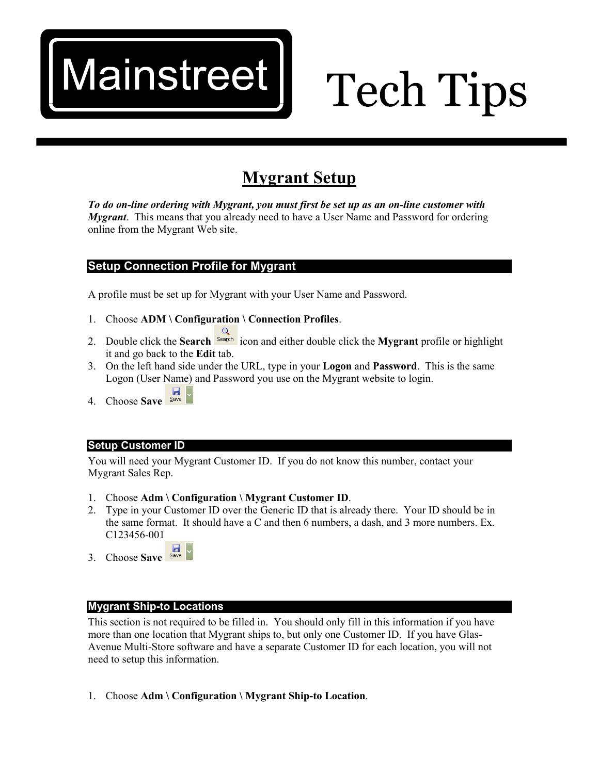## Mainstreet

# **Tech Tips**

### **Mygrant Setup**

*To do on-line ordering with Mygrant, you must first be set up as an on-line customer with Mygrant*. This means that you already need to have a User Name and Password for ordering online from the Mygrant Web site.

#### **Setup Connection Profile for Mygrant**

A profile must be set up for Mygrant with your User Name and Password.

- 1. Choose **ADM \ Configuration \ Connection Profiles**.
- 2. Double click the **Search** icon and either double click the **Mygrant** profile or highlight it and go back to the **Edit** tab.
- 3. On the left hand side under the URL, type in your **Logon** and **Password**. This is the same Logon (User Name) and Password you use on the Mygrant website to login.
- $\frac{1}{\sqrt{2}}$ 4. Choose **Save**

#### **Setup Customer ID**

You will need your Mygrant Customer ID. If you do not know this number, contact your Mygrant Sales Rep.

- 1. Choose **Adm \ Configuration \ Mygrant Customer ID**.
- 2. Type in your Customer ID over the Generic ID that is already there. Your ID should be in the same format. It should have a C and then 6 numbers, a dash, and 3 more numbers. Ex. C123456-001
- 3. Choose **Save**

#### **Mygrant Ship-to Locations**

This section is not required to be filled in. You should only fill in this information if you have more than one location that Mygrant ships to, but only one Customer ID. If you have Glas-Avenue Multi-Store software and have a separate Customer ID for each location, you will not need to setup this information.

1. Choose **Adm \ Configuration \ Mygrant Ship-to Location**.